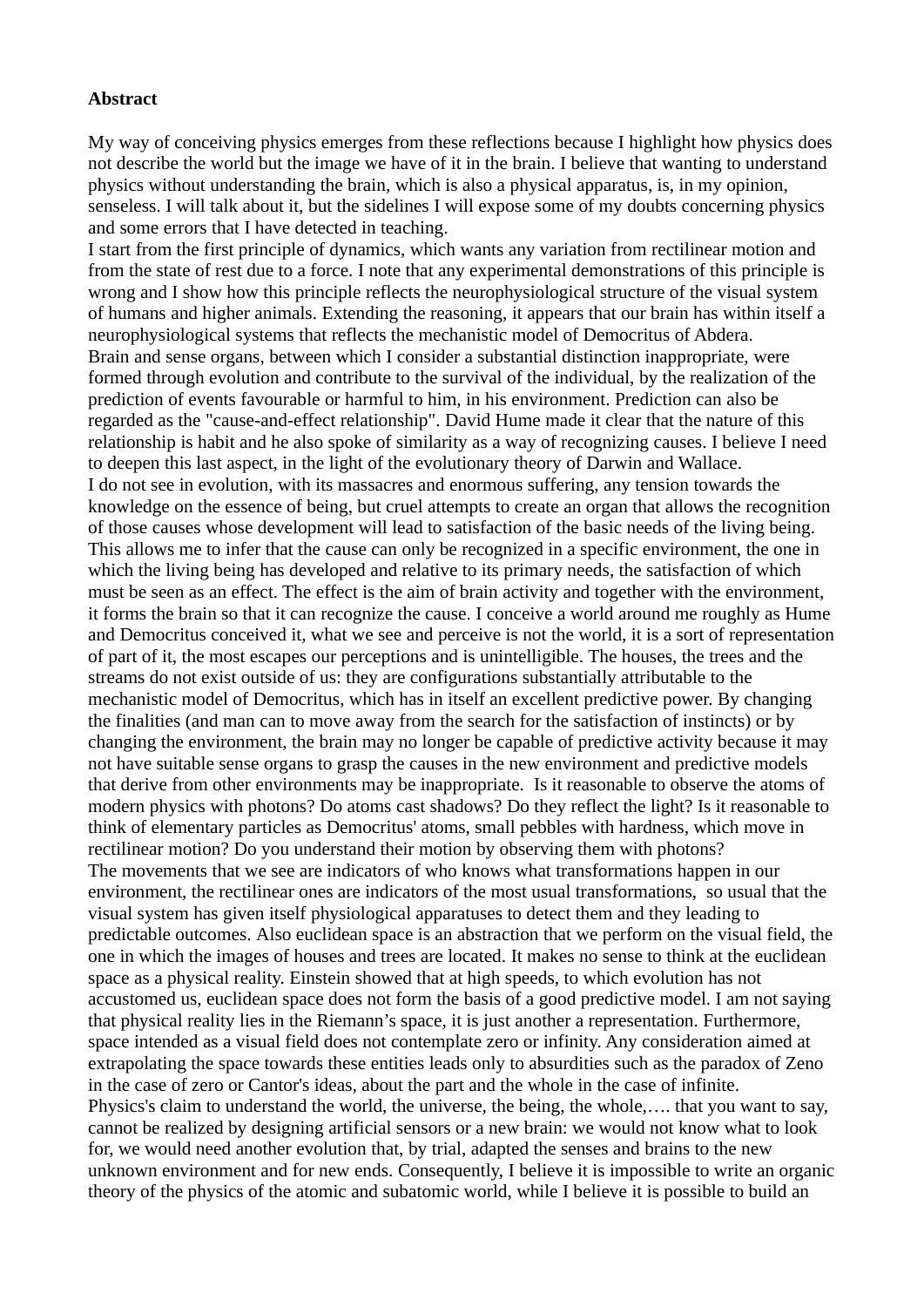## **Abstract**

My way of conceiving physics emerges from these reflections because I highlight how physics does not describe the world but the image we have of it in the brain. I believe that wanting to understand physics without understanding the brain, which is also a physical apparatus, is, in my opinion, senseless. I will talk about it, but the sidelines I will expose some of my doubts concerning physics and some errors that I have detected in teaching.

I start from the first principle of dynamics, which wants any variation from rectilinear motion and from the state of rest due to a force. I note that any experimental demonstrations of this principle is wrong and I show how this principle reflects the neurophysiological structure of the visual system of humans and higher animals. Extending the reasoning, it appears that our brain has within itself a neurophysiological systems that reflects the mechanistic model of Democritus of Abdera. Brain and sense organs, between which I consider a substantial distinction inappropriate, were formed through evolution and contribute to the survival of the individual, by the realization of the prediction of events favourable or harmful to him, in his environment. Prediction can also be regarded as the "cause-and-effect relationship". David Hume made it clear that the nature of this relationship is habit and he also spoke of similarity as a way of recognizing causes. I believe I need to deepen this last aspect, in the light of the evolutionary theory of Darwin and Wallace. I do not see in evolution, with its massacres and enormous suffering, any tension towards the knowledge on the essence of being, but cruel attempts to create an organ that allows the recognition of those causes whose development will lead to satisfaction of the basic needs of the living being. This allows me to infer that the cause can only be recognized in a specific environment, the one in which the living being has developed and relative to its primary needs, the satisfaction of which must be seen as an effect. The effect is the aim of brain activity and together with the environment, it forms the brain so that it can recognize the cause. I conceive a world around me roughly as Hume and Democritus conceived it, what we see and perceive is not the world, it is a sort of representation of part of it, the most escapes our perceptions and is unintelligible. The houses, the trees and the streams do not exist outside of us: they are configurations substantially attributable to the mechanistic model of Democritus, which has in itself an excellent predictive power. By changing the finalities (and man can to move away from the search for the satisfaction of instincts) or by changing the environment, the brain may no longer be capable of predictive activity because it may not have suitable sense organs to grasp the causes in the new environment and predictive models that derive from other environments may be inappropriate. Is it reasonable to observe the atoms of modern physics with photons? Do atoms cast shadows? Do they reflect the light? Is it reasonable to think of elementary particles as Democritus' atoms, small pebbles with hardness, which move in rectilinear motion? Do you understand their motion by observing them with photons? The movements that we see are indicators of who knows what transformations happen in our environment, the rectilinear ones are indicators of the most usual transformations, so usual that the visual system has given itself physiological apparatuses to detect them and they leading to predictable outcomes. Also euclidean space is an abstraction that we perform on the visual field, the one in which the images of houses and trees are located. It makes no sense to think at the euclidean space as a physical reality. Einstein showed that at high speeds, to which evolution has not accustomed us, euclidean space does not form the basis of a good predictive model. I am not saying that physical reality lies in the Riemann's space, it is just another a representation. Furthermore, space intended as a visual field does not contemplate zero or infinity. Any consideration aimed at extrapolating the space towards these entities leads only to absurdities such as the paradox of Zeno in the case of zero or Cantor's ideas, about the part and the whole in the case of infinite. Physics's claim to understand the world, the universe, the being, the whole,…. that you want to say, cannot be realized by designing artificial sensors or a new brain: we would not know what to look for, we would need another evolution that, by trial, adapted the senses and brains to the new unknown environment and for new ends. Consequently, I believe it is impossible to write an organic theory of the physics of the atomic and subatomic world, while I believe it is possible to build an